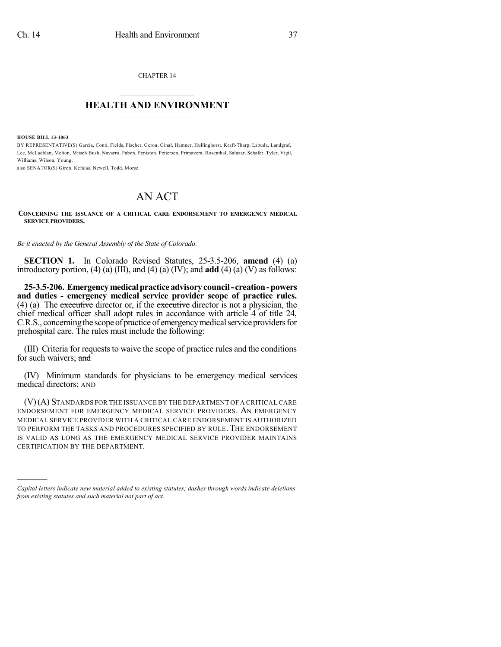CHAPTER 14  $\overline{\phantom{a}}$  . The set of the set of the set of the set of the set of the set of the set of the set of the set of the set of the set of the set of the set of the set of the set of the set of the set of the set of the set o

## **HEALTH AND ENVIRONMENT**  $\_$

**HOUSE BILL 13-1063**

)))))

BY REPRESENTATIVE(S) Garcia, Conti, Fields, Fischer, Gerou, Ginal, Hamner, Hullinghorst, Kraft-Tharp, Labuda, Landgraf, Lee, McLachlan, Melton, Mitsch Bush, Navarro, Pabon, Peniston, Pettersen, Primavera, Rosenthal, Salazar, Schafer, Tyler, Vigil, Williams, Wilson, Young;

also SENATOR(S) Giron, Kefalas, Newell, Todd, Morse.

## AN ACT

## **CONCERNING THE ISSUANCE OF A CRITICAL CARE ENDORSEMENT TO EMERGENCY MEDICAL SERVICE PROVIDERS.**

*Be it enacted by the General Assembly of the State of Colorado:*

**SECTION 1.** In Colorado Revised Statutes, 25-3.5-206, **amend** (4) (a) introductory portion, (4) (a) (III), and (4) (a) (IV); and **add** (4) (a) (V) as follows:

**25-3.5-206. Emergencymedicalpracticeadvisorycouncil- creation-powers and duties - emergency medical service provider scope of practice rules.**  $(4)$  (a) The executive director or, if the executive director is not a physician, the chief medical officer shall adopt rules in accordance with article 4 of title 24, C.R.S., concerning the scope of practice of emergency medical service providers for prehospital care. The rules must include the following:

(III) Criteria for requests to waive the scope of practice rules and the conditions for such waivers; and

(IV) Minimum standards for physicians to be emergency medical services medical directors; AND

(V)(A) STANDARDS FOR THE ISSUANCE BY THE DEPARTMENT OF A CRITICAL CARE ENDORSEMENT FOR EMERGENCY MEDICAL SERVICE PROVIDERS. AN EMERGENCY MEDICAL SERVICE PROVIDER WITH A CRITICAL CARE ENDORSEMENT IS AUTHORIZED TO PERFORM THE TASKS AND PROCEDURES SPECIFIED BY RULE. THE ENDORSEMENT IS VALID AS LONG AS THE EMERGENCY MEDICAL SERVICE PROVIDER MAINTAINS CERTIFICATION BY THE DEPARTMENT.

*Capital letters indicate new material added to existing statutes; dashes through words indicate deletions from existing statutes and such material not part of act.*